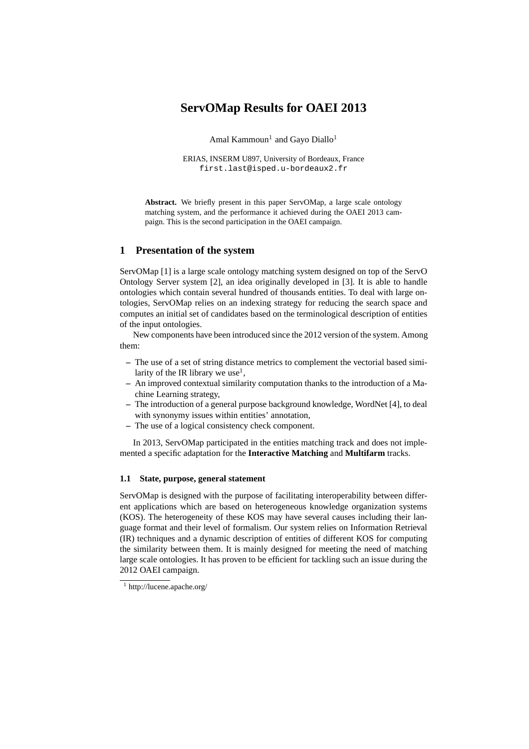# **ServOMap Results for OAEI 2013**

Amal Kammoun $^1$  and Gayo Diallo $^1$ 

ERIAS, INSERM U897, University of Bordeaux, France first.last@isped.u-bordeaux2.fr

**Abstract.** We briefly present in this paper ServOMap, a large scale ontology matching system, and the performance it achieved during the OAEI 2013 campaign. This is the second participation in the OAEI campaign.

## **1 Presentation of the system**

ServOMap [1] is a large scale ontology matching system designed on top of the ServO Ontology Server system [2], an idea originally developed in [3]. It is able to handle ontologies which contain several hundred of thousands entities. To deal with large ontologies, ServOMap relies on an indexing strategy for reducing the search space and computes an initial set of candidates based on the terminological description of entities of the input ontologies.

New components have been introduced since the 2012 version of the system. Among them:

- **–** The use of a set of string distance metrics to complement the vectorial based similarity of the IR library we use<sup>1</sup>,
- **–** An improved contextual similarity computation thanks to the introduction of a Machine Learning strategy,
- **–** The introduction of a general purpose background knowledge, WordNet [4], to deal with synonymy issues within entities' annotation,
- **–** The use of a logical consistency check component.

In 2013, ServOMap participated in the entities matching track and does not implemented a specific adaptation for the **Interactive Matching** and **Multifarm** tracks.

#### **1.1 State, purpose, general statement**

ServOMap is designed with the purpose of facilitating interoperability between different applications which are based on heterogeneous knowledge organization systems (KOS). The heterogeneity of these KOS may have several causes including their language format and their level of formalism. Our system relies on Information Retrieval (IR) techniques and a dynamic description of entities of different KOS for computing the similarity between them. It is mainly designed for meeting the need of matching large scale ontologies. It has proven to be efficient for tackling such an issue during the 2012 OAEI campaign.

<sup>1</sup> http://lucene.apache.org/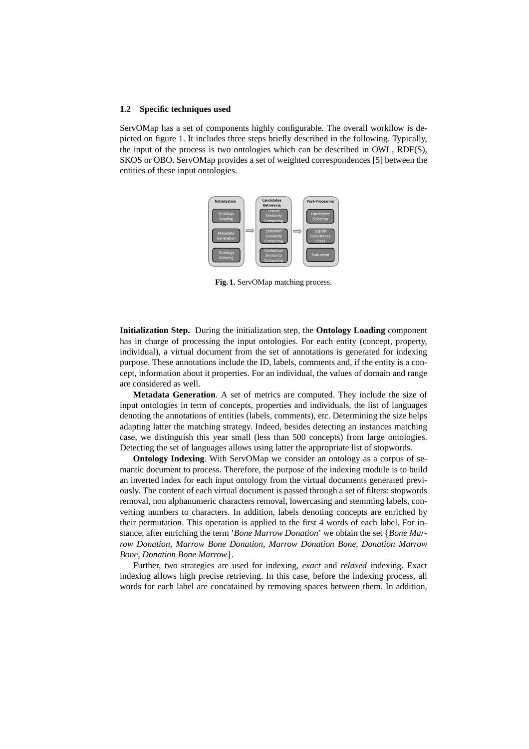#### **1.2 Specific techniques used**

ServOMap has a set of components highly configurable. The overall workflow is depicted on figure 1. It includes three steps briefly described in the following. Typically, the input of the process is two ontologies which can be described in OWL, RDF(S), SKOS or OBO. ServOMap provides a set of weighted correspondences [5] between the entities of these input ontologies.



Fig. 1. ServOMap matching process.

**Initialization Step.** During the initialization step, the **Ontology Loading** component has in charge of processing the input ontologies. For each entity (concept, property, individual), a virtual document from the set of annotations is generated for indexing purpose. These annotations include the ID, labels, comments and, if the entity is a concept, information about it properties. For an individual, the values of domain and range are considered as well.

**Metadata Generation**. A set of metrics are computed. They include the size of input ontologies in term of concepts, properties and individuals, the list of languages denoting the annotations of entities (labels, comments), etc. Determining the size helps adapting latter the matching strategy. Indeed, besides detecting an instances matching case, we distinguish this year small (less than 500 concepts) from large ontologies. Detecting the set of languages allows using latter the appropriate list of stopwords.

**Ontology Indexing**. With ServOMap we consider an ontology as a corpus of semantic document to process. Therefore, the purpose of the indexing module is to build an inverted index for each input ontology from the virtual documents generated previously. The content of each virtual document is passed through a set of filters: stopwords removal, non alphanumeric characters removal, lowercasing and stemming labels, converting numbers to characters. In addition, labels denoting concepts are enriched by their permutation. This operation is applied to the first 4 words of each label. For instance, after enriching the term '*Bone Marrow Donation*' we obtain the set {*Bone Marrow Donation, Marrow Bone Donation, Marrow Donation Bone, Donation Marrow Bone, Donation Bone Marrow*}.

Further, two strategies are used for indexing, *exact* and *relaxed* indexing. Exact indexing allows high precise retrieving. In this case, before the indexing process, all words for each label are concatained by removing spaces between them. In addition,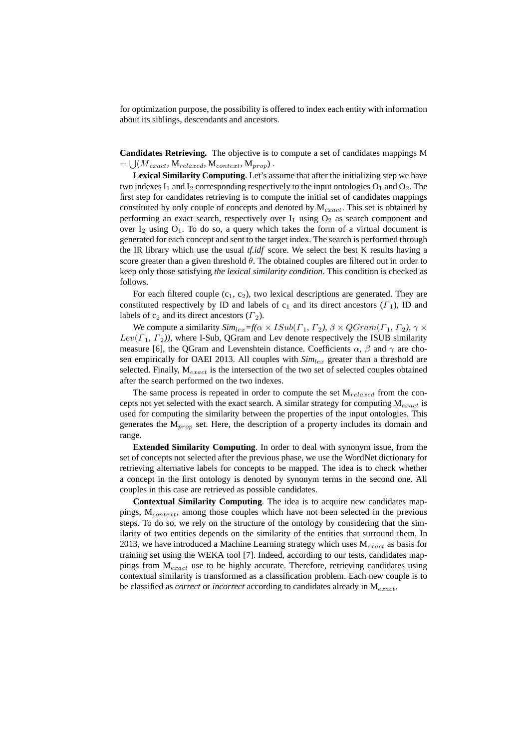for optimization purpose, the possibility is offered to index each entity with information about its siblings, descendants and ancestors.

**Candidates Retrieving.** The objective is to compute a set of candidates mappings M  $=\bigcup (M_{exact}, \mathbf{M}_{relaxed}, \mathbf{M}_{context}, \mathbf{M}_{prop})$ .

**Lexical Similarity Computing**. Let's assume that after the initializing step we have two indexes  $I_1$  and  $I_2$  corresponding respectively to the input ontologies  $O_1$  and  $O_2$ . The first step for candidates retrieving is to compute the initial set of candidates mappings constituted by only couple of concepts and denoted by  $M_{exact}$ . This set is obtained by performing an exact search, respectively over  $I_1$  using  $O_2$  as search component and over  $I_2$  using  $O_1$ . To do so, a query which takes the form of a virtual document is generated for each concept and sent to the target index. The search is performed through the IR library which use the usual *tf.idf* score. We select the best K results having a score greater than a given threshold  $\theta$ . The obtained couples are filtered out in order to keep only those satisfying *the lexical similarity condition*. This condition is checked as follows.

For each filtered couple  $(c_1, c_2)$ , two lexical descriptions are generated. They are constituted respectively by ID and labels of  $c_1$  and its direct ancestors  $(\Gamma_1)$ , ID and labels of  $c_2$  and its direct ancestors  $(\Gamma_2)$ .

We compute a similarity  $Sim_{lex} = f(\alpha \times ISub(\Gamma_1, \Gamma_2), \beta \times QGram(\Gamma_1, \Gamma_2), \gamma \times$  $Lev(\Gamma_1, \Gamma_2)$ ), where I-Sub, QGram and Lev denote respectively the ISUB similarity measure [6], the QGram and Levenshtein distance. Coefficients  $\alpha$ ,  $\beta$  and  $\gamma$  are chosen empirically for OAEI 2013. All couples with  $Sim_{lex}$  greater than a threshold are selected. Finally,  $M_{exact}$  is the intersection of the two set of selected couples obtained after the search performed on the two indexes.

The same process is repeated in order to compute the set  $M_{relaxed}$  from the concepts not yet selected with the exact search. A similar strategy for computing  $M_{exact}$  is used for computing the similarity between the properties of the input ontologies. This generates the  $M_{prop}$  set. Here, the description of a property includes its domain and range.

**Extended Similarity Computing**. In order to deal with synonym issue, from the set of concepts not selected after the previous phase, we use the WordNet dictionary for retrieving alternative labels for concepts to be mapped. The idea is to check whether a concept in the first ontology is denoted by synonym terms in the second one. All couples in this case are retrieved as possible candidates.

**Contextual Similarity Computing**. The idea is to acquire new candidates mappings,  $M_{context}$ , among those couples which have not been selected in the previous steps. To do so, we rely on the structure of the ontology by considering that the similarity of two entities depends on the similarity of the entities that surround them. In 2013, we have introduced a Machine Learning strategy which uses  $M_{exact}$  as basis for training set using the WEKA tool [7]. Indeed, according to our tests, candidates mappings from  $M_{exact}$  use to be highly accurate. Therefore, retrieving candidates using contextual similarity is transformed as a classification problem. Each new couple is to be classified as *correct* or *incorrect* according to candidates already in  $M_{exact}$ .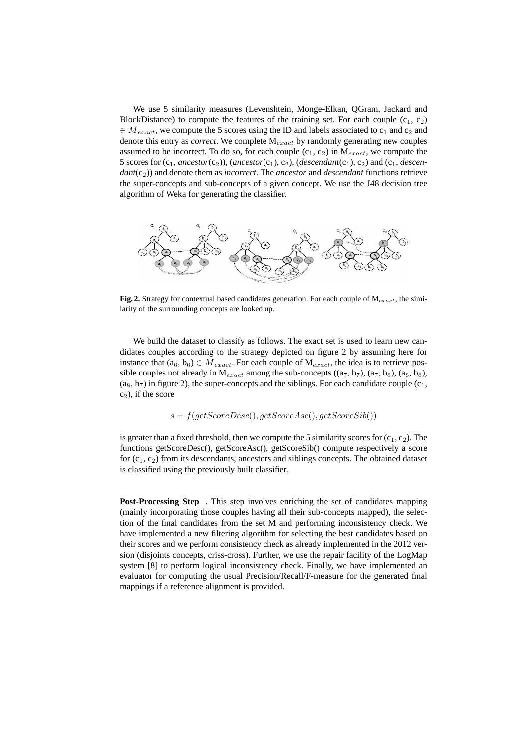We use 5 similarity measures (Levenshtein, Monge-Elkan, QGram, Jackard and BlockDistance) to compute the features of the training set. For each couple  $(c_1, c_2)$  $\in M_{exact}$ , we compute the 5 scores using the ID and labels associated to  $c_1$  and  $c_2$  and denote this entry as *correct*. We complete  $M_{exact}$  by randomly generating new couples assumed to be incorrect. To do so, for each couple  $(c_1, c_2)$  in  $M_{exact}$ , we compute the 5 scores for  $(c_1, \text{arcestor}(c_2))$ ,  $(\text{arcestor}(c_1), c_2)$ ,  $(\text{descendant}(c_1), c_2)$  and  $(c_1, \text{descenn})$  $dant(c_2)$ ) and denote them as *incorrect*. The *ancestor* and *descendant* functions retrieve the super-concepts and sub-concepts of a given concept. We use the J48 decision tree algorithm of Weka for generating the classifier.



**Fig. 2.** Strategy for contextual based candidates generation. For each couple of  $M_{exact}$ , the similarity of the surrounding concepts are looked up.

We build the dataset to classify as follows. The exact set is used to learn new candidates couples according to the strategy depicted on figure 2 by assuming here for instance that  $(a_6, b_6) \in M_{exact}$ . For each couple of  $M_{exact}$ , the idea is to retrieve possible couples not already in  $M_{exact}$  among the sub-concepts  $((a_7, b_7), (a_7, b_8), (a_8, b_8),$  $(a_8, b_7)$  in figure 2), the super-concepts and the siblings. For each candidate couple  $(c_1,$  $c_2$ ), if the score

$$
s = f(\text{getScoreDesc}(), \text{getScoreAsc}(), \text{getScoreSib}())
$$

is greater than a fixed threshold, then we compute the 5 similarity scores for  $(c_1, c_2)$ . The functions getScoreDesc(), getScoreAsc(), getScoreSib() compute respectively a score for  $(c_1, c_2)$  from its descendants, ancestors and siblings concepts. The obtained dataset is classified using the previously built classifier.

**Post-Processing Step** . This step involves enriching the set of candidates mapping (mainly incorporating those couples having all their sub-concepts mapped), the selection of the final candidates from the set M and performing inconsistency check. We have implemented a new filtering algorithm for selecting the best candidates based on their scores and we perform consistency check as already implemented in the 2012 version (disjoints concepts, criss-cross). Further, we use the repair facility of the LogMap system [8] to perform logical inconsistency check. Finally, we have implemented an evaluator for computing the usual Precision/Recall/F-measure for the generated final mappings if a reference alignment is provided.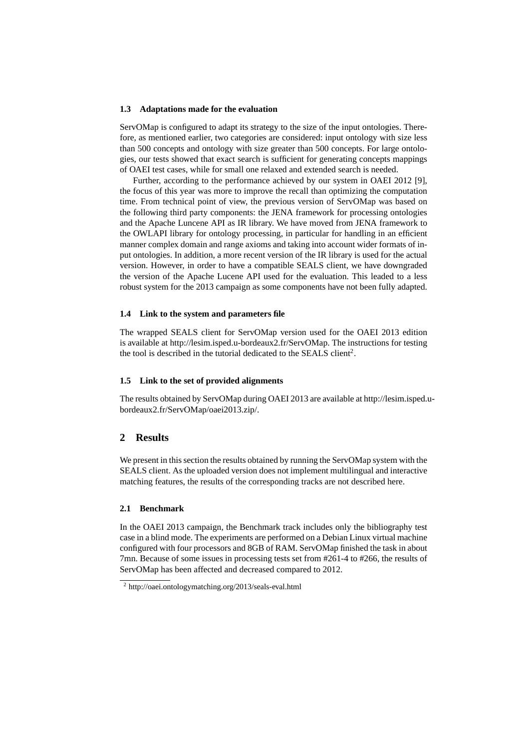#### **1.3 Adaptations made for the evaluation**

ServOMap is configured to adapt its strategy to the size of the input ontologies. Therefore, as mentioned earlier, two categories are considered: input ontology with size less than 500 concepts and ontology with size greater than 500 concepts. For large ontologies, our tests showed that exact search is sufficient for generating concepts mappings of OAEI test cases, while for small one relaxed and extended search is needed.

Further, according to the performance achieved by our system in OAEI 2012 [9], the focus of this year was more to improve the recall than optimizing the computation time. From technical point of view, the previous version of ServOMap was based on the following third party components: the JENA framework for processing ontologies and the Apache Luncene API as IR library. We have moved from JENA framework to the OWLAPI library for ontology processing, in particular for handling in an efficient manner complex domain and range axioms and taking into account wider formats of input ontologies. In addition, a more recent version of the IR library is used for the actual version. However, in order to have a compatible SEALS client, we have downgraded the version of the Apache Lucene API used for the evaluation. This leaded to a less robust system for the 2013 campaign as some components have not been fully adapted.

#### **1.4 Link to the system and parameters file**

The wrapped SEALS client for ServOMap version used for the OAEI 2013 edition is available at http://lesim.isped.u-bordeaux2.fr/ServOMap. The instructions for testing the tool is described in the tutorial dedicated to the SEALS client<sup>2</sup>.

#### **1.5 Link to the set of provided alignments**

The results obtained by ServOMap during OAEI 2013 are available at http://lesim.isped.ubordeaux2.fr/ServOMap/oaei2013.zip/.

### **2 Results**

We present in this section the results obtained by running the ServOMap system with the SEALS client. As the uploaded version does not implement multilingual and interactive matching features, the results of the corresponding tracks are not described here.

#### **2.1 Benchmark**

In the OAEI 2013 campaign, the Benchmark track includes only the bibliography test case in a blind mode. The experiments are performed on a Debian Linux virtual machine configured with four processors and 8GB of RAM. ServOMap finished the task in about 7mn. Because of some issues in processing tests set from #261-4 to #266, the results of ServOMap has been affected and decreased compared to 2012.

<sup>2</sup> http://oaei.ontologymatching.org/2013/seals-eval.html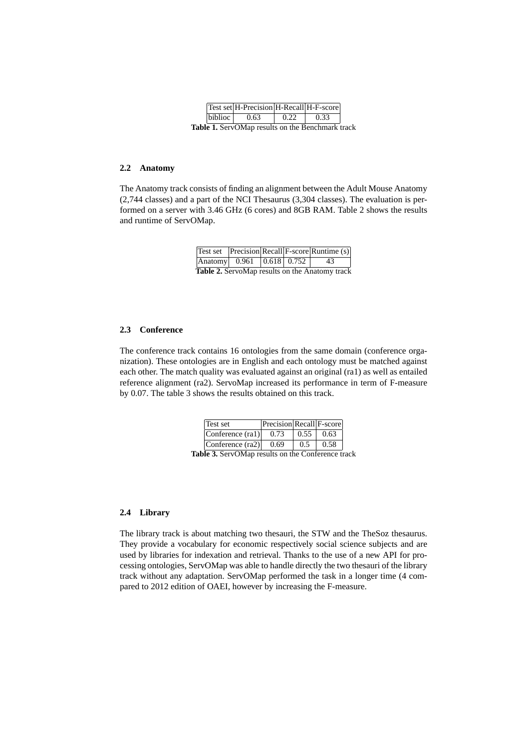|                                                         |  | Test set H-Precision H-Recall H-F-score |      |      |  |  |  |
|---------------------------------------------------------|--|-----------------------------------------|------|------|--|--|--|
|                                                         |  | $\vert$ biblioc $\vert$ 0.63            | 0.22 | 0.33 |  |  |  |
| <b>Table 1.</b> ServOMap results on the Benchmark track |  |                                         |      |      |  |  |  |

#### **2.2 Anatomy**

The Anatomy track consists of finding an alignment between the Adult Mouse Anatomy (2,744 classes) and a part of the NCI Thesaurus (3,304 classes). The evaluation is performed on a server with 3.46 GHz (6 cores) and 8GB RAM. Table 2 shows the results and runtime of ServOMap.

|                                                       |  |  |  | Test set Precision Recall F-score Runtime (s) |  |  |
|-------------------------------------------------------|--|--|--|-----------------------------------------------|--|--|
| Anatomy $0.961$ $0.618$ $0.752$                       |  |  |  | 43                                            |  |  |
| <b>Table 2.</b> ServoMap results on the Anatomy track |  |  |  |                                               |  |  |

### **2.3 Conference**

The conference track contains 16 ontologies from the same domain (conference organization). These ontologies are in English and each ontology must be matched against each other. The match quality was evaluated against an original (ra1) as well as entailed reference alignment (ra2). ServoMap increased its performance in term of F-measure by 0.07. The table 3 shows the results obtained on this track.

| Conference $(ra1)$<br>0.73 | 0.55 | 0.63 |
|----------------------------|------|------|
| Conference (ra2)<br>0.69   | 0.5  | 0.58 |

**Table 3.** ServOMap results on the Conference track

## **2.4 Library**

The library track is about matching two thesauri, the STW and the TheSoz thesaurus. They provide a vocabulary for economic respectively social science subjects and are used by libraries for indexation and retrieval. Thanks to the use of a new API for processing ontologies, ServOMap was able to handle directly the two thesauri of the library track without any adaptation. ServOMap performed the task in a longer time (4 compared to 2012 edition of OAEI, however by increasing the F-measure.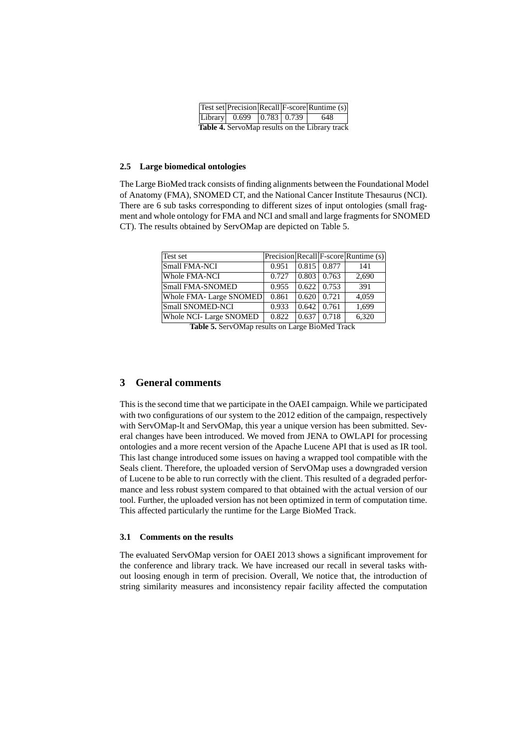|                                                       |  |                                      |  |  | Test set Precision Recall F-score Runtime (s) |  |
|-------------------------------------------------------|--|--------------------------------------|--|--|-----------------------------------------------|--|
|                                                       |  | Library  $0.699$   $0.783$   $0.739$ |  |  | 648                                           |  |
| <b>Table 4.</b> ServoMap results on the Library track |  |                                      |  |  |                                               |  |

#### **2.5 Large biomedical ontologies**

The Large BioMed track consists of finding alignments between the Foundational Model of Anatomy (FMA), SNOMED CT, and the National Cancer Institute Thesaurus (NCI). There are 6 sub tasks corresponding to different sizes of input ontologies (small fragment and whole ontology for FMA and NCI and small and large fragments for SNOMED CT). The results obtained by ServOMap are depicted on Table 5.

| Test set                       |       |                     |                    | Precision Recall F-score Runtime (s) |
|--------------------------------|-------|---------------------|--------------------|--------------------------------------|
| Small FMA-NCI                  | 0.951 |                     | $0.815$   $0.877$  | 141                                  |
| Whole FMA-NCI                  | 0.727 | $\vert 0.803 \vert$ | 0.763              | 2,690                                |
| Small FMA-SNOMED               | 0.955 |                     | $0.622 \mid 0.753$ | 391                                  |
| Whole FMA-Large SNOMED         | 0.861 | 0.620               | 0.721              | 4,059                                |
| Small SNOMED-NCI               | 0.933 | 0.642               | 0.761              | 1,699                                |
| <b>Whole NCI- Large SNOMED</b> | 0.822 | 0.637               | 0.718              | 6,320                                |

**Table 5.** ServOMap results on Large BioMed Track

## **3 General comments**

This is the second time that we participate in the OAEI campaign. While we participated with two configurations of our system to the 2012 edition of the campaign, respectively with ServOMap-lt and ServOMap, this year a unique version has been submitted. Several changes have been introduced. We moved from JENA to OWLAPI for processing ontologies and a more recent version of the Apache Lucene API that is used as IR tool. This last change introduced some issues on having a wrapped tool compatible with the Seals client. Therefore, the uploaded version of ServOMap uses a downgraded version of Lucene to be able to run correctly with the client. This resulted of a degraded performance and less robust system compared to that obtained with the actual version of our tool. Further, the uploaded version has not been optimized in term of computation time. This affected particularly the runtime for the Large BioMed Track.

### **3.1 Comments on the results**

The evaluated ServOMap version for OAEI 2013 shows a significant improvement for the conference and library track. We have increased our recall in several tasks without loosing enough in term of precision. Overall, We notice that, the introduction of string similarity measures and inconsistency repair facility affected the computation